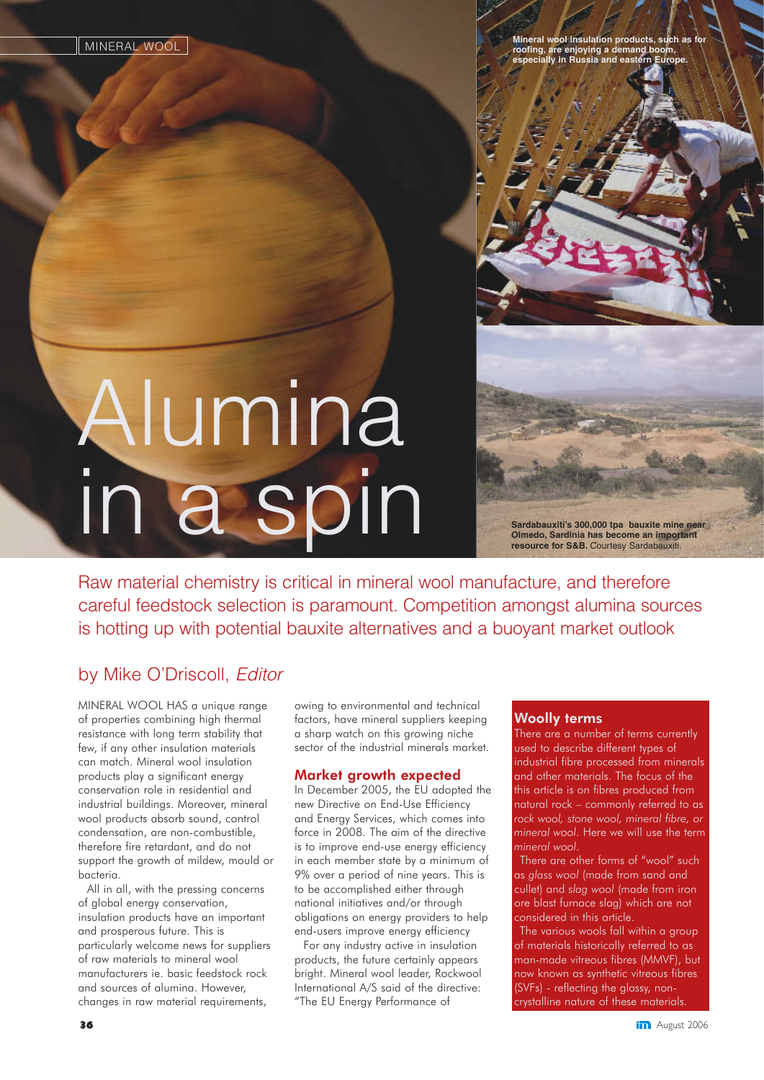**Mineral wool insulation products, such** roofing, are enjoying a demand b **ecially in Russia and east** 

# Alumina in a spin

**Sardabauxiti's 300,000 tpa bauxite mine near Olmedo, Sardinia has become an important** resource for S&B. Courtesy Sardabauxit

Raw material chemistry is critical in mineral wool manufacture, and therefore careful feedstock selection is paramount. Competition amongst alumina sources is hotting up with potential bauxite alternatives and a buoyant market outlook

#### by Mike O'Driscoll, Editor

MINERAL WOOL HAS a unique range of properties combining high thermal resistance with long term stability that few, if any other insulation materials can match. Mineral wool insulation products play a significant energy conservation role in residential and industrial buildings. Moreover, mineral wool products absorb sound, control condensation, are non-combustible, therefore fire retardant, and do not support the growth of mildew, mould or bacteria.

All in all, with the pressing concerns of global energy conservation, insulation products have an important and prosperous future. This is particularly welcome news for suppliers of raw materials to mineral wool manufacturers ie. basic feedstock rock and sources of alumina. However, changes in raw material requirements,

owing to environmental and technical factors, have mineral suppliers keeping a sharp watch on this growing niche sector of the industrial minerals market.

#### Market growth expected

In December 2005, the EU adopted the new Directive on End-Use Efficiency and Energy Services, which comes into force in 2008. The aim of the directive is to improve end-use energy efficiency in each member state by a minimum of 9% over a period of nine years. This is to be accomplished either through national initiatives and/or through obligations on energy providers to help end-users improve energy efficiency

For any industry active in insulation products, the future certainly appears bright. Mineral wool leader, Rockwool International A/S said of the directive: "The EU Energy Performance of

#### Woolly terms

There are a number of terms currently used to describe different types of industrial fibre processed from minerals and other materials. The focus of the this article is on fibres produced from natural rock – commonly referred to as *rock wool, stone wool, mineral fibre, or mineral wool*. Here we will use the term *mineral wool*.

There are other forms of "wool" such as *glass wool* (made from sand and cullet) and *slag wool* (made from iron ore blast furnace slag) which are not considered in this article.

The various wools fall within a group of materials historically referred to as man-made vitreous fibres (MMVF), but now known as synthetic vitreous fibres (SVFs) - reflecting the glassy, noncrystalline nature of these materials.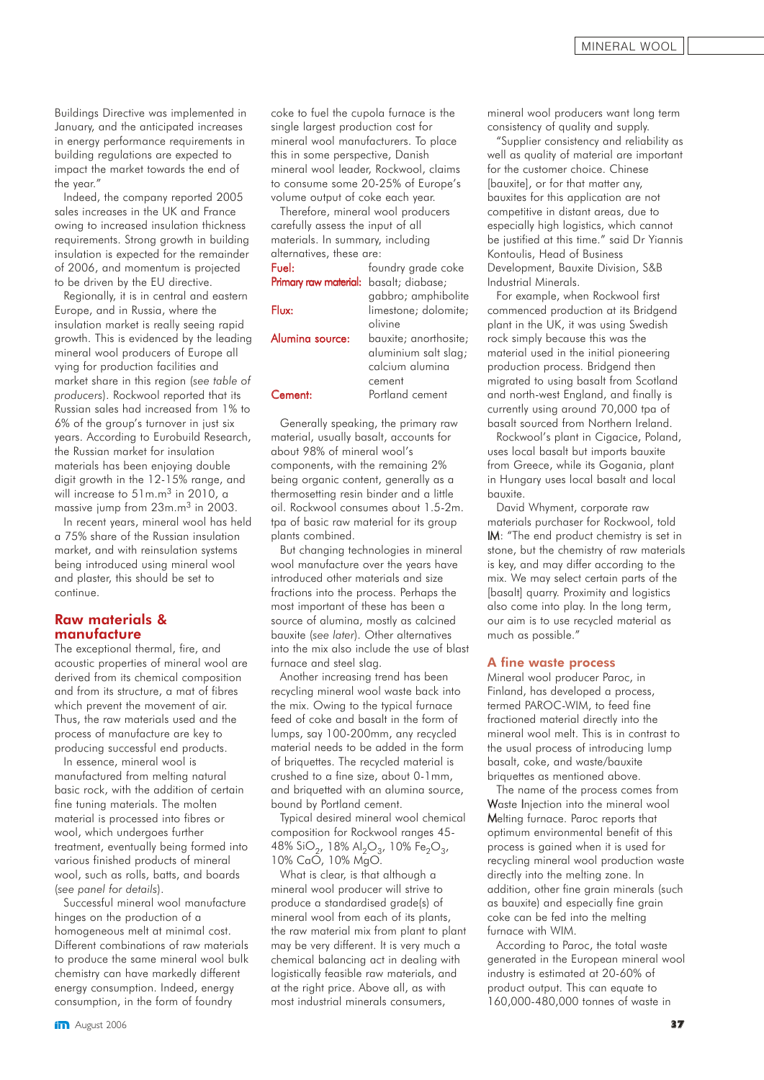Buildings Directive was implemented in January, and the anticipated increases in energy performance requirements in building regulations are expected to impact the market towards the end of the year."

Indeed, the company reported 2005 sales increases in the UK and France owing to increased insulation thickness requirements. Strong growth in building insulation is expected for the remainder of 2006, and momentum is projected to be driven by the EU directive.

Regionally, it is in central and eastern Europe, and in Russia, where the insulation market is really seeing rapid growth. This is evidenced by the leading mineral wool producers of Europe all vying for production facilities and market share in this region (*see table of producers*). Rockwool reported that its Russian sales had increased from 1% to 6% of the group's turnover in just six years. According to Eurobuild Research, the Russian market for insulation materials has been enjoying double digit growth in the 12-15% range, and will increase to 51m.m<sup>3</sup> in 2010, a massive jump from 23m.m3 in 2003.

In recent years, mineral wool has held a 75% share of the Russian insulation market, and with reinsulation systems being introduced using mineral wool and plaster, this should be set to continue.

#### Raw materials & manufacture

The exceptional thermal, fire, and acoustic properties of mineral wool are derived from its chemical composition and from its structure, a mat of fibres which prevent the movement of air. Thus, the raw materials used and the process of manufacture are key to producing successful end products.

In essence, mineral wool is manufactured from melting natural basic rock, with the addition of certain fine tuning materials. The molten material is processed into fibres or wool, which undergoes further treatment, eventually being formed into various finished products of mineral wool, such as rolls, batts, and boards (*see panel for details*).

Successful mineral wool manufacture hinges on the production of a homogeneous melt at minimal cost. Different combinations of raw materials to produce the same mineral wool bulk chemistry can have markedly different energy consumption. Indeed, energy consumption, in the form of foundry

coke to fuel the cupola furnace is the single largest production cost for mineral wool manufacturers. To place this in some perspective, Danish mineral wool leader, Rockwool, claims to consume some 20-25% of Europe's volume output of coke each year.

Therefore, mineral wool producers carefully assess the input of all materials. In summary, including alternatives, these are:

| Fuel:                 | foundry grade coke    |
|-----------------------|-----------------------|
| Primary raw material: | basalt; diabase;      |
|                       | gabbro; amphibolite   |
| Flux:                 | limestone; dolomite;  |
|                       | olivine               |
| Alumina source:       | bauxite; anorthosite; |
|                       | aluminium salt slag;  |
|                       | calcium alumina       |
|                       | cement                |
| Cement:               | Portland cement       |

Generally speaking, the primary raw material, usually basalt, accounts for about 98% of mineral wool's components, with the remaining 2% being organic content, generally as a thermosetting resin binder and a little oil. Rockwool consumes about 1.5-2m. tpa of basic raw material for its group plants combined.

But changing technologies in mineral wool manufacture over the years have introduced other materials and size fractions into the process. Perhaps the most important of these has been a source of alumina, mostly as calcined bauxite (*see later*). Other alternatives into the mix also include the use of blast furnace and steel slag.

Another increasing trend has been recycling mineral wool waste back into the mix. Owing to the typical furnace feed of coke and basalt in the form of lumps, say 100-200mm, any recycled material needs to be added in the form of briquettes. The recycled material is crushed to a fine size, about 0-1mm, and briquetted with an alumina source, bound by Portland cement.

Typical desired mineral wool chemical composition for Rockwool ranges 45- 48% SiO<sub>2</sub>, 18% Al<sub>2</sub>O<sub>3</sub>, 10% Fe<sub>2</sub>O<sub>3</sub>, 10% CaO, 10% MgO.

What is clear, is that although a mineral wool producer will strive to produce a standardised grade(s) of mineral wool from each of its plants, the raw material mix from plant to plant may be very different. It is very much a chemical balancing act in dealing with logistically feasible raw materials, and at the right price. Above all, as with most industrial minerals consumers,

mineral wool producers want long term consistency of quality and supply.

"Supplier consistency and reliability as well as quality of material are important for the customer choice. Chinese [bauxite], or for that matter any, bauxites for this application are not competitive in distant areas, due to especially high logistics, which cannot be justified at this time." said Dr Yiannis Kontoulis, Head of Business Development, Bauxite Division, S&B Industrial Minerals.

For example, when Rockwool first commenced production at its Bridgend plant in the UK, it was using Swedish rock simply because this was the material used in the initial pioneering production process. Bridgend then migrated to using basalt from Scotland and north-west England, and finally is currently using around 70,000 tpa of basalt sourced from Northern Ireland.

Rockwool's plant in Cigacice, Poland, uses local basalt but imports bauxite from Greece, while its Gogania, plant in Hungary uses local basalt and local bauxite.

David Whyment, corporate raw materials purchaser for Rockwool, told IM: "The end product chemistry is set in stone, but the chemistry of raw materials is key, and may differ according to the mix. We may select certain parts of the [basalt] quarry. Proximity and logistics also come into play. In the long term, our aim is to use recycled material as much as possible."

#### A fine waste process

Mineral wool producer Paroc, in Finland, has developed a process, termed PAROC-WIM, to feed fine fractioned material directly into the mineral wool melt. This is in contrast to the usual process of introducing lump basalt, coke, and waste/bauxite briquettes as mentioned above.

The name of the process comes from Waste Injection into the mineral wool Melting furnace. Paroc reports that optimum environmental benefit of this process is gained when it is used for recycling mineral wool production waste directly into the melting zone. In addition, other fine grain minerals (such as bauxite) and especially fine grain coke can be fed into the melting furnace with WIM.

According to Paroc, the total waste generated in the European mineral wool industry is estimated at 20-60% of product output. This can equate to 160,000-480,000 tonnes of waste in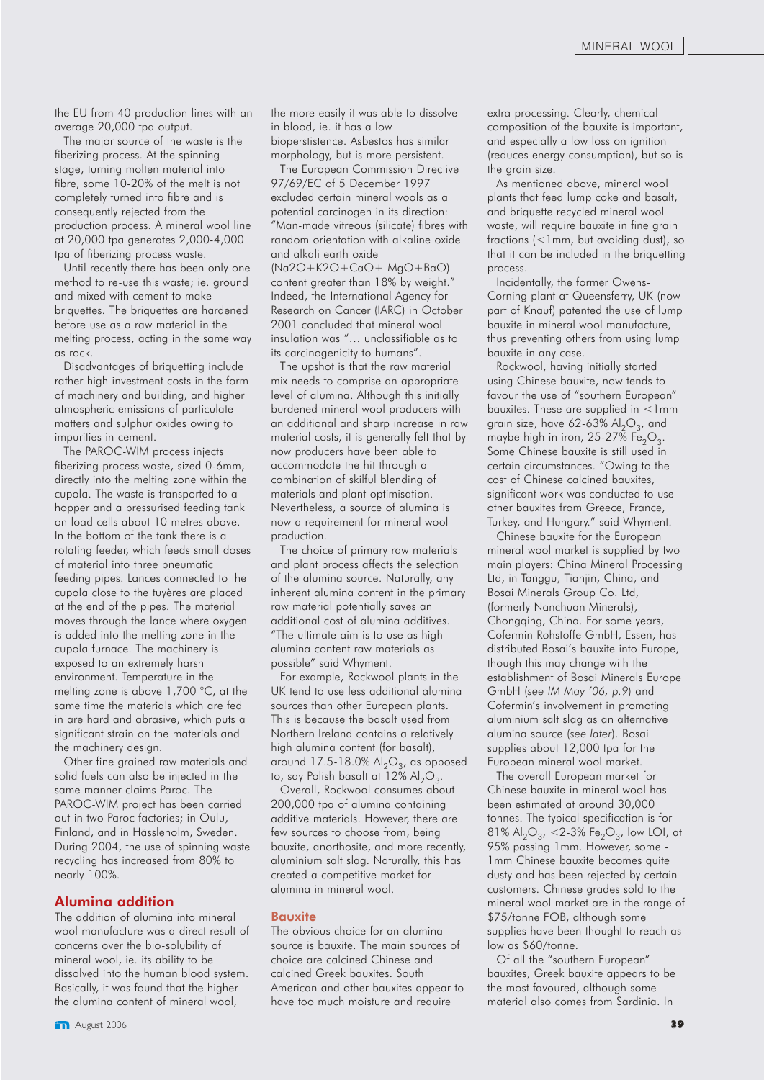the EU from 40 production lines with an average 20,000 tpa output.

The major source of the waste is the fiberizing process. At the spinning stage, turning molten material into fibre, some 10-20% of the melt is not completely turned into fibre and is consequently rejected from the production process. A mineral wool line at 20,000 tpa generates 2,000-4,000 tpa of fiberizing process waste.

Until recently there has been only one method to re-use this waste; ie. ground and mixed with cement to make briquettes. The briquettes are hardened before use as a raw material in the melting process, acting in the same way as rock.

Disadvantages of briquetting include rather high investment costs in the form of machinery and building, and higher atmospheric emissions of particulate matters and sulphur oxides owing to impurities in cement.

The PAROC-WIM process injects fiberizing process waste, sized 0-6mm, directly into the melting zone within the cupola. The waste is transported to a hopper and a pressurised feeding tank on load cells about 10 metres above. In the bottom of the tank there is a rotating feeder, which feeds small doses of material into three pneumatic feeding pipes. Lances connected to the cupola close to the tuyères are placed at the end of the pipes. The material moves through the lance where oxygen is added into the melting zone in the cupola furnace. The machinery is exposed to an extremely harsh environment. Temperature in the melting zone is above 1,700 °C, at the same time the materials which are fed in are hard and abrasive, which puts a significant strain on the materials and the machinery design.

Other fine grained raw materials and solid fuels can also be injected in the same manner claims Paroc. The PAROC-WIM project has been carried out in two Paroc factories; in Oulu, Finland, and in Hässleholm, Sweden. During 2004, the use of spinning waste recycling has increased from 80% to nearly 100%.

#### Alumina addition

The addition of alumina into mineral wool manufacture was a direct result of concerns over the bio-solubility of mineral wool, ie. its ability to be dissolved into the human blood system. Basically, it was found that the higher the alumina content of mineral wool,

the more easily it was able to dissolve in blood, ie. it has a low bioperstistence. Asbestos has similar morphology, but is more persistent.

The European Commission Directive 97/69/EC of 5 December 1997 excluded certain mineral wools as a potential carcinogen in its direction: "Man-made vitreous (silicate) fibres with random orientation with alkaline oxide and alkali earth oxide (Na2O+K2O+CaO+ MgO+BaO) content greater than 18% by weight." Indeed, the International Agency for Research on Cancer (IARC) in October 2001 concluded that mineral wool insulation was "… unclassifiable as to its carcinogenicity to humans".

The upshot is that the raw material mix needs to comprise an appropriate level of alumina. Although this initially burdened mineral wool producers with an additional and sharp increase in raw material costs, it is generally felt that by now producers have been able to accommodate the hit through a combination of skilful blending of materials and plant optimisation. Nevertheless, a source of alumina is now a requirement for mineral wool production.

The choice of primary raw materials and plant process affects the selection of the alumina source. Naturally, any inherent alumina content in the primary raw material potentially saves an additional cost of alumina additives. "The ultimate aim is to use as high alumina content raw materials as possible" said Whyment.

For example, Rockwool plants in the UK tend to use less additional alumina sources than other European plants. This is because the basalt used from Northern Ireland contains a relatively high alumina content (for basalt), around 17.5-18.0%  $\text{Al}_2\text{O}_3$ , as opposed to, say Polish basalt at  $12\%$  Al<sub>2</sub>O<sub>3</sub>.

Overall, Rockwool consumes about 200,000 tpa of alumina containing additive materials. However, there are few sources to choose from, being bauxite, anorthosite, and more recently, aluminium salt slag. Naturally, this has created a competitive market for alumina in mineral wool.

#### Bauxite

The obvious choice for an alumina source is bauxite. The main sources of choice are calcined Chinese and calcined Greek bauxites. South American and other bauxites appear to have too much moisture and require

extra processing. Clearly, chemical composition of the bauxite is important, and especially a low loss on ignition (reduces energy consumption), but so is the grain size.

As mentioned above, mineral wool plants that feed lump coke and basalt, and briquette recycled mineral wool waste, will require bauxite in fine grain fractions (<1mm, but avoiding dust), so that it can be included in the briquetting process.

Incidentally, the former Owens-Corning plant at Queensferry, UK (now part of Knauf) patented the use of lump bauxite in mineral wool manufacture, thus preventing others from using lump bauxite in any case.

Rockwool, having initially started using Chinese bauxite, now tends to favour the use of "southern European" bauxites. These are supplied in <1mm grain size, have 62-63%  $\text{Al}_2\text{O}_3$ , and maybe high in iron,  $25-27\%$  Fe<sub>2</sub>O<sub>3</sub>. Some Chinese bauxite is still used in certain circumstances. "Owing to the cost of Chinese calcined bauxites, significant work was conducted to use other bauxites from Greece, France, Turkey, and Hungary." said Whyment.

Chinese bauxite for the European mineral wool market is supplied by two main players: China Mineral Processing Ltd, in Tanggu, Tianjin, China, and Bosai Minerals Group Co. Ltd, (formerly Nanchuan Minerals), Chongqing, China. For some years, Cofermin Rohstoffe GmbH, Essen, has distributed Bosai's bauxite into Europe, though this may change with the establishment of Bosai Minerals Europe GmbH (*see IM May '06, p.9*) and Cofermin's involvement in promoting aluminium salt slag as an alternative alumina source (*see later*). Bosai supplies about 12,000 tpa for the European mineral wool market.

The overall European market for Chinese bauxite in mineral wool has been estimated at around 30,000 tonnes. The typical specification is for 81% Al<sub>2</sub>O<sub>3</sub>, <2-3% Fe<sub>2</sub>O<sub>3</sub>, low LOI, at 95% passing 1mm. However, some - 1mm Chinese bauxite becomes quite dusty and has been rejected by certain customers. Chinese grades sold to the mineral wool market are in the range of \$75/tonne FOB, although some supplies have been thought to reach as low as \$60/tonne.

Of all the "southern European" bauxites, Greek bauxite appears to be the most favoured, although some material also comes from Sardinia. In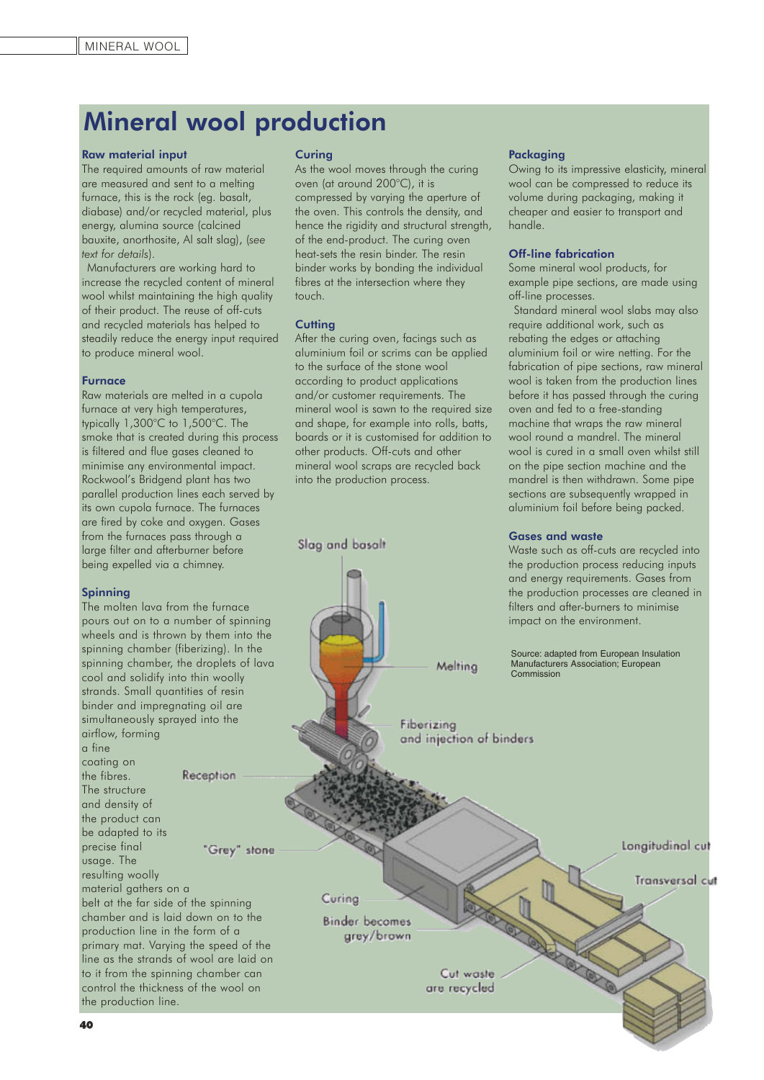### Mineral wool production

#### Raw material input

The required amounts of raw material are measured and sent to a melting furnace, this is the rock (eg. basalt, diabase) and/or recycled material, plus energy, alumina source (calcined bauxite, anorthosite, Al salt slag), (*see text for details*).

Manufacturers are working hard to increase the recycled content of mineral wool whilst maintaining the high quality of their product. The reuse of off-cuts and recycled materials has helped to steadily reduce the energy input required to produce mineral wool.

#### Furnace

Raw materials are melted in a cupola furnace at very high temperatures, typically 1,300°C to 1,500°C. The smoke that is created during this process is filtered and flue gases cleaned to minimise any environmental impact. Rockwool's Bridgend plant has two parallel production lines each served by its own cupola furnace. The furnaces are fired by coke and oxygen. Gases from the furnaces pass through a large filter and afterburner before being expelled via a chimney.

#### Spinning

The molten lava from the furnace pours out on to a number of spinning wheels and is thrown by them into the spinning chamber (fiberizing). In the spinning chamber, the droplets of lava cool and solidify into thin woolly strands. Small quantities of resin binder and impregnating oil are simultaneously sprayed into the airflow, forming a fine coating on the fibres. Reception The structure and density of the product can be adapted to its precise final "Grey" stone usage. The resulting woolly material gathers on a belt at the far side of the spinning chamber and is laid down on to the production line in the form of a primary mat. Varying the speed of the line as the strands of wool are laid on to it from the spinning chamber can control the thickness of the wool on the production line.

#### **Curing**

As the wool moves through the curing oven (at around 200°C), it is compressed by varying the aperture of the oven. This controls the density, and hence the rigidity and structural strength, of the end-product. The curing oven heat-sets the resin binder. The resin binder works by bonding the individual fibres at the intersection where they touch.

#### **Cutting**

Slag and basalt

After the curing oven, facings such as aluminium foil or scrims can be applied to the surface of the stone wool according to product applications and/or customer requirements. The mineral wool is sawn to the required size and shape, for example into rolls, batts, boards or it is customised for addition to other products. Off-cuts and other mineral wool scraps are recycled back into the production process.

#### Packaging

Owing to its impressive elasticity, mineral wool can be compressed to reduce its volume during packaging, making it cheaper and easier to transport and handle.

#### Off-line fabrication

Some mineral wool products, for example pipe sections, are made using off-line processes.

Standard mineral wool slabs may also require additional work, such as rebating the edges or attaching aluminium foil or wire netting. For the fabrication of pipe sections, raw mineral wool is taken from the production lines before it has passed through the curing oven and fed to a free-standing machine that wraps the raw mineral wool round a mandrel. The mineral wool is cured in a small oven whilst still on the pipe section machine and the mandrel is then withdrawn. Some pipe sections are subsequently wrapped in aluminium foil before being packed.

#### Gases and waste

Waste such as off-cuts are recycled into the production process reducing inputs

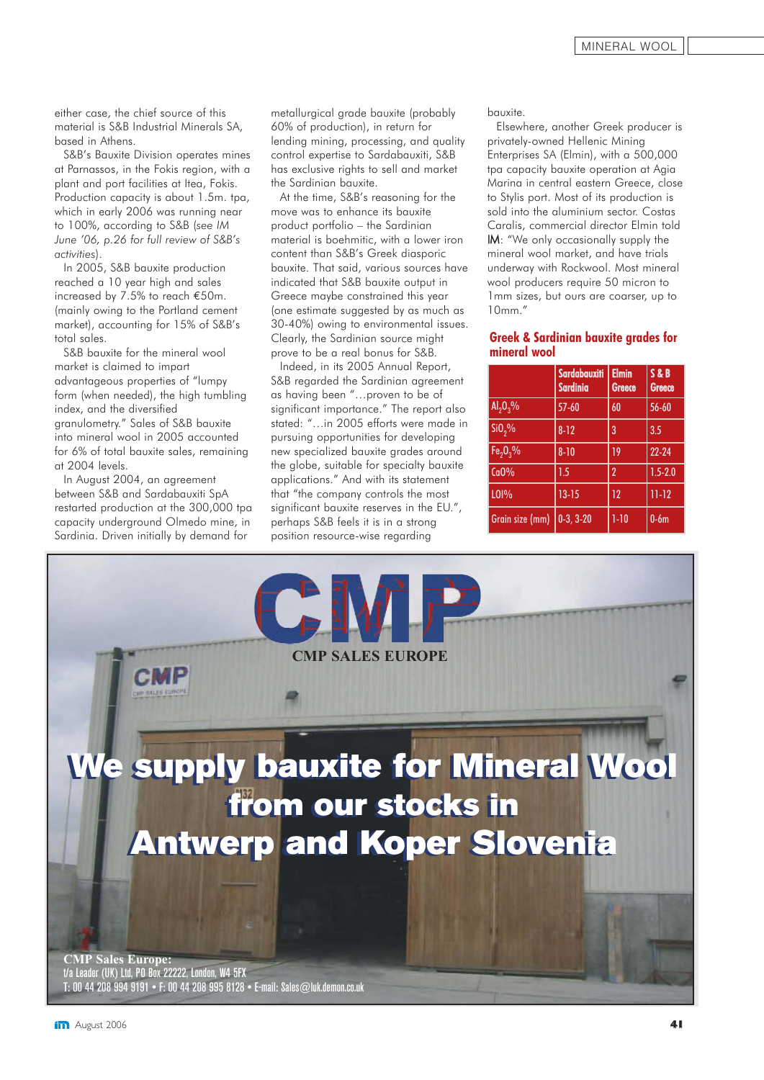either case, the chief source of this material is S&B Industrial Minerals SA, based in Athens.

S&B's Bauxite Division operates mines at Parnassos, in the Fokis region, with a plant and port facilities at Itea, Fokis. Production capacity is about 1.5m. tpa, which in early 2006 was running near to 100%, according to S&B (*see IM June '06, p.26 for full review of S&B's activities*).

In 2005, S&B bauxite production reached a 10 year high and sales increased by 7.5% to reach €50m. (mainly owing to the Portland cement market), accounting for 15% of S&B's total sales.

S&B bauxite for the mineral wool market is claimed to impart advantageous properties of "lumpy form (when needed), the high tumbling index, and the diversified granulometry." Sales of S&B bauxite into mineral wool in 2005 accounted for 6% of total bauxite sales, remaining at 2004 levels.

In August 2004, an agreement between S&B and Sardabauxiti SpA restarted production at the 300,000 tpa capacity underground Olmedo mine, in Sardinia. Driven initially by demand for

metallurgical grade bauxite (probably 60% of production), in return for lending mining, processing, and quality control expertise to Sardabauxiti, S&B has exclusive rights to sell and market the Sardinian bauxite.

At the time, S&B's reasoning for the move was to enhance its bauxite product portfolio – the Sardinian material is boehmitic, with a lower iron content than S&B's Greek diasporic bauxite. That said, various sources have indicated that S&B bauxite output in Greece maybe constrained this year (one estimate suggested by as much as 30-40%) owing to environmental issues. Clearly, the Sardinian source might prove to be a real bonus for S&B.

Indeed, in its 2005 Annual Report, S&B regarded the Sardinian agreement as having been "…proven to be of significant importance." The report also stated: "…in 2005 efforts were made in pursuing opportunities for developing new specialized bauxite grades around the globe, suitable for specialty bauxite applications." And with its statement that "the company controls the most significant bauxite reserves in the EU.", perhaps S&B feels it is in a strong position resource-wise regarding

bauxite.

Elsewhere, another Greek producer is privately-owned Hellenic Mining Enterprises SA (Elmin), with a 500,000 tpa capacity bauxite operation at Agia Marina in central eastern Greece, close to Stylis port. Most of its production is sold into the aluminium sector. Costas Caralis, commercial director Elmin told IM: "We only occasionally supply the mineral wool market, and have trials underway with Rockwool. Most mineral wool producers require 50 micron to 1mm sizes, but ours are coarser, up to 10mm."

#### **Greek & Sardinian bauxite grades for mineral wool**

|                    | Sardabauxiti<br><b>Sardinia</b> | <b>Elmin</b><br>Greece | S&B<br><b>Greece</b> |
|--------------------|---------------------------------|------------------------|----------------------|
| $Al_2O_3\%$        | $57 - 60$                       | 60                     | $56 - 60$            |
| SiO <sub>2</sub> % | $8 - 12$                        | 3                      | 3.5                  |
| $Fe2O3$ %          | $8 - 10$                        | 19                     | $22 - 24$            |
| CaO%               | 1.5                             | $\overline{2}$         | $1.5 - 2.0$          |
| L <sub>01%</sub>   | $13 - 15$                       | 12                     | $11 - 12$            |
| Grain size (mm)    | $0-3, 3-20$                     | $1-10$                 | $0-6m$               |

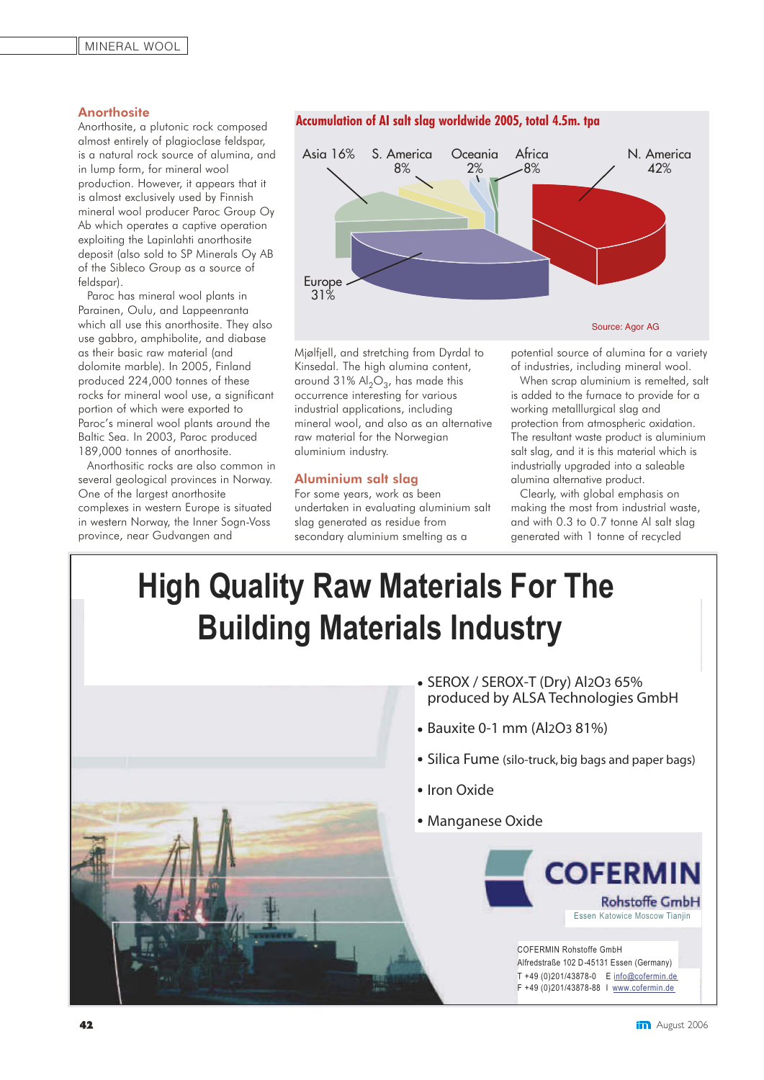#### **Anorthosite**

Anorthosite, a plutonic rock composed almost entirely of plagioclase feldspar, is a natural rock source of alumina, and in lump form, for mineral wool production. However, it appears that it is almost exclusively used by Finnish mineral wool producer Paroc Group Oy Ab which operates a captive operation exploiting the Lapinlahti anorthosite deposit (also sold to SP Minerals Oy AB of the Sibleco Group as a source of feldspar).

Paroc has mineral wool plants in Parainen, Oulu, and Lappeenranta which all use this anorthosite. They also use gabbro, amphibolite, and diabase as their basic raw material (and dolomite marble). In 2005, Finland produced 224,000 tonnes of these rocks for mineral wool use, a significant portion of which were exported to Paroc's mineral wool plants around the Baltic Sea. In 2003, Paroc produced 189,000 tonnes of anorthosite.

Anorthositic rocks are also common in several geological provinces in Norway. One of the largest anorthosite complexes in western Europe is situated in western Norway, the Inner Sogn-Voss province, near Gudvangen and



**Accumulation of AI salt slag worldwide 2005, total 4.5m. tpa**

Mjølfjell, and stretching from Dyrdal to Kinsedal. The high alumina content, around 31%  $Al_2O_3$ , has made this occurrence interesting for various industrial applications, including mineral wool, and also as an alternative raw material for the Norwegian aluminium industry.

#### Aluminium salt slag

For some years, work as been undertaken in evaluating aluminium salt slag generated as residue from secondary aluminium smelting as a

potential source of alumina for a variety of industries, including mineral wool.

When scrap aluminium is remelted, salt is added to the furnace to provide for a working metalllurgical slag and protection from atmospheric oxidation. The resultant waste product is aluminium salt slag, and it is this material which is industrially upgraded into a saleable alumina alternative product.

Clearly, with global emphasis on making the most from industrial waste, and with 0.3 to 0.7 tonne Al salt slag generated with 1 tonne of recycled

## **High Quality Raw Materials For The Building Materials Industry**

- Iron Oxide Manganese Oxide **COFERMIN** Essen Katowice Moscow Tianiin COFERMIN Rohstoffe GmbH Alfredstraße 102 D-45131 Essen (Germany) T +49 (0)201/43878-0 E info@cofermin.de F +49 (0)201/43878-88 I www.cofermin.de
- SEROX / SEROX-T (Dry) Al2O3 65% produced by ALSA Technologies GmbH
	- Bauxite 0-1 mm (Al2O3 81%)
	- Silica Fume (silo-truck, big bags and paper bags)

**Rohstoffe GmbH**